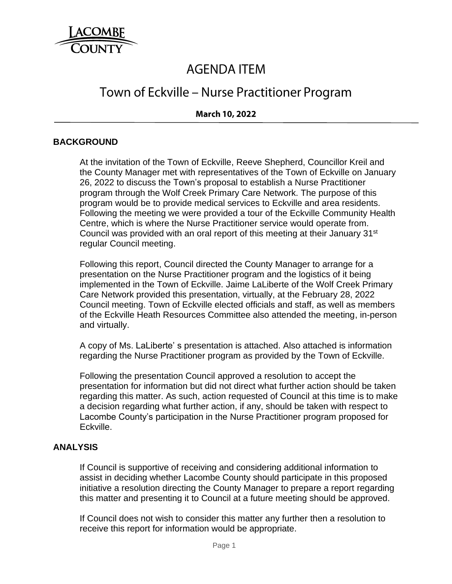

# **AGENDA ITEM**

## Town of Eckville – Nurse Practitioner Program

### **March 10, 2022**

#### **BACKGROUND**

At the invitation of the Town of Eckville, Reeve Shepherd, Councillor Kreil and the County Manager met with representatives of the Town of Eckville on January 26, 2022 to discuss the Town's proposal to establish a Nurse Practitioner program through the Wolf Creek Primary Care Network. The purpose of this program would be to provide medical services to Eckville and area residents. Following the meeting we were provided a tour of the Eckville Community Health Centre, which is where the Nurse Practitioner service would operate from. Council was provided with an oral report of this meeting at their January 31<sup>st</sup> regular Council meeting.

Following this report, Council directed the County Manager to arrange for a presentation on the Nurse Practitioner program and the logistics of it being implemented in the Town of Eckville. Jaime LaLiberte of the Wolf Creek Primary Care Network provided this presentation, virtually, at the February 28, 2022 Council meeting. Town of Eckville elected officials and staff, as well as members of the Eckville Heath Resources Committee also attended the meeting, in-person and virtually.

A copy of Ms. LaLiberte' s presentation is attached. Also attached is information regarding the Nurse Practitioner program as provided by the Town of Eckville.

Following the presentation Council approved a resolution to accept the presentation for information but did not direct what further action should be taken regarding this matter. As such, action requested of Council at this time is to make a decision regarding what further action, if any, should be taken with respect to Lacombe County's participation in the Nurse Practitioner program proposed for Eckville.

#### **ANALYSIS**

If Council is supportive of receiving and considering additional information to assist in deciding whether Lacombe County should participate in this proposed initiative a resolution directing the County Manager to prepare a report regarding this matter and presenting it to Council at a future meeting should be approved.

If Council does not wish to consider this matter any further then a resolution to receive this report for information would be appropriate.